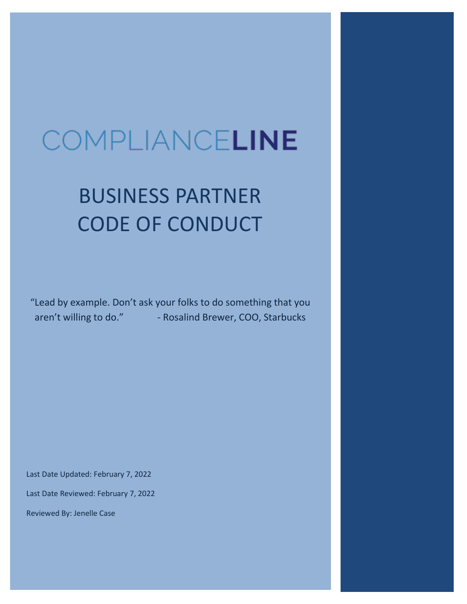# COMPLIANCELINE

# BUSINESS PARTNER CODE OF CONDUCT

"Lead by example. Don't ask your folks to do something that you aren't willing to do." - Rosalind Brewer, COO, Starbucks

Last Date Updated: February 7, 2022

Last Date Reviewed: February 7, 2022

Reviewed By: Jenelle Case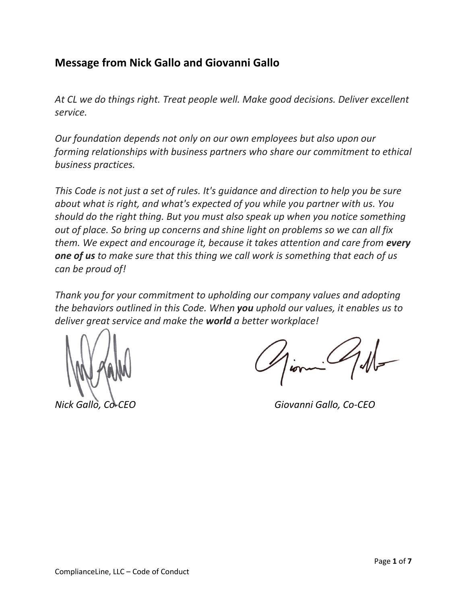## **Message from Nick Gallo and Giovanni Gallo**

*At CL we do things right. Treat people well. Make good decisions. Deliver excellent service.*

*Our foundation depends not only on our own employees but also upon our forming relationships with business partners who share our commitment to ethical business practices.* 

*This Code is not just a set of rules. It's guidance and direction to help you be sure about what is right, and what's expected of you while you partner with us. You should do the right thing. But you must also speak up when you notice something out of place. So bring up concerns and shine light on problems so we can all fix them. We expect and encourage it, because it takes attention and care from every one of us to make sure that this thing we call work is something that each of us can be proud of!*

*Thank you for your commitment to upholding our company values and adopting the behaviors outlined in this Code. When you uphold our values, it enables us to deliver great service and make the world a better workplace!*

*Nick Gallo, Co-CEO Giovanni Gallo, Co-CEO*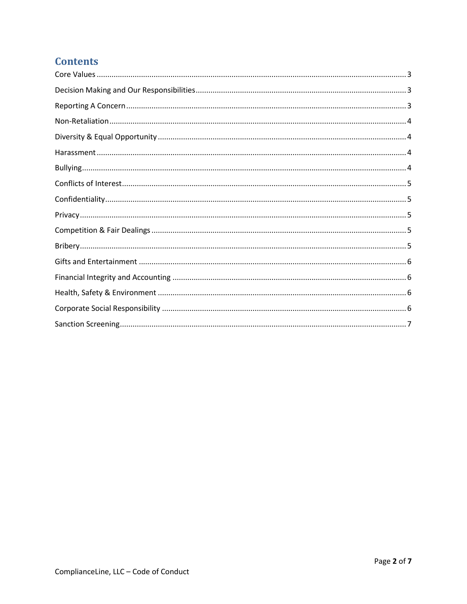# **Contents**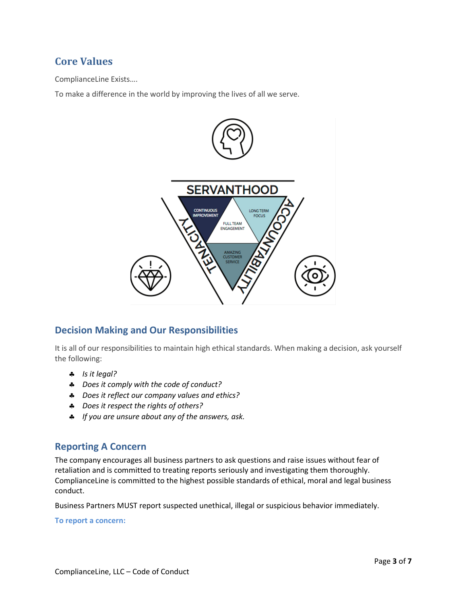### <span id="page-3-0"></span>**Core Values**

ComplianceLine Exists….

To make a difference in the world by improving the lives of all we serve.



#### <span id="page-3-1"></span>**Decision Making and Our Responsibilities**

It is all of our responsibilities to maintain high ethical standards. When making a decision, ask yourself the following:

- *Is it legal?*
- *Does it comply with the code of conduct?*
- *Does it reflect our company values and ethics?*
- *Does it respect the rights of others?*
- *If you are unsure about any of the answers, ask.*

#### <span id="page-3-2"></span>**Reporting A Concern**

The company encourages all business partners to ask questions and raise issues without fear of retaliation and is committed to treating reports seriously and investigating them thoroughly. ComplianceLine is committed to the highest possible standards of ethical, moral and legal business conduct.

Business Partners MUST report suspected unethical, illegal or suspicious behavior immediately.

**To report a concern:**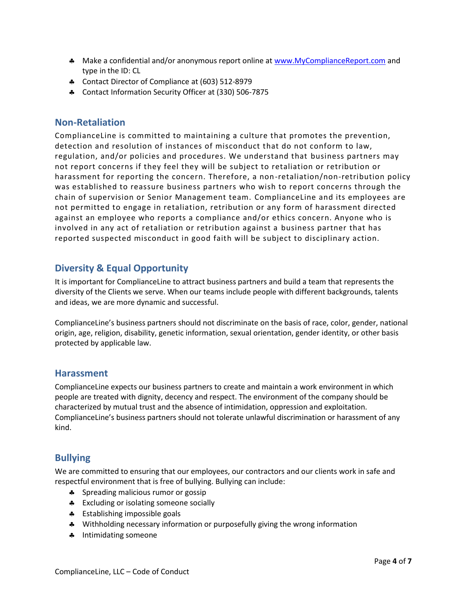- A Make a confidential and/or anonymous report online a[t www.MyComplianceReport.com](http://www.mycompliancereport.com/) and type in the ID: CL
- \* Contact Director of Compliance at (603) 512-8979
- Contact Information Security Officer at (330) 506-7875

#### <span id="page-4-0"></span>**Non-Retaliation**

ComplianceLine is committed to maintaining a culture that promotes the prevention, detection and resolution of instances of misconduct that do not conform to law, regulation, and/or policies and procedures. We understand that business partners may not report concerns if they feel they will be subject to retaliation or retribution or harassment for reporting the concern. Therefore, a non-retaliation/non-retribution policy was established to reassure business partners who wish to report concerns through the chain of supervision or Senior Management team. ComplianceLine and its employees are not permitted to engage in retaliation, retribution or any form of harassment directed against an employee who reports a compliance and/or ethics concern. Anyone who is involved in any act of retaliation or retribution against a business partner that has reported suspected misconduct in good faith will be subject to disciplinary action.

#### <span id="page-4-1"></span>**Diversity & Equal Opportunity**

It is important for ComplianceLine to attract business partners and build a team that represents the diversity of the Clients we serve. When our teams include people with different backgrounds, talents and ideas, we are more dynamic and successful.

ComplianceLine's business partners should not discriminate on the basis of race, color, gender, national origin, age, religion, disability, genetic information, sexual orientation, gender identity, or other basis protected by applicable law.

#### <span id="page-4-2"></span>**Harassment**

ComplianceLine expects our business partners to create and maintain a work environment in which people are treated with dignity, decency and respect. The environment of the company should be characterized by mutual trust and the absence of intimidation, oppression and exploitation. ComplianceLine's business partners should not tolerate unlawful discrimination or harassment of any kind.

#### <span id="page-4-3"></span>**Bullying**

We are committed to ensuring that our employees, our contractors and our clients work in safe and respectful environment that is free of bullying. Bullying can include:

- **\*** Spreading malicious rumor or gossip
- **\*** Excluding or isolating someone socially
- **\*** Establishing impossible goals
- Withholding necessary information or purposefully giving the wrong information
- **A** Intimidating someone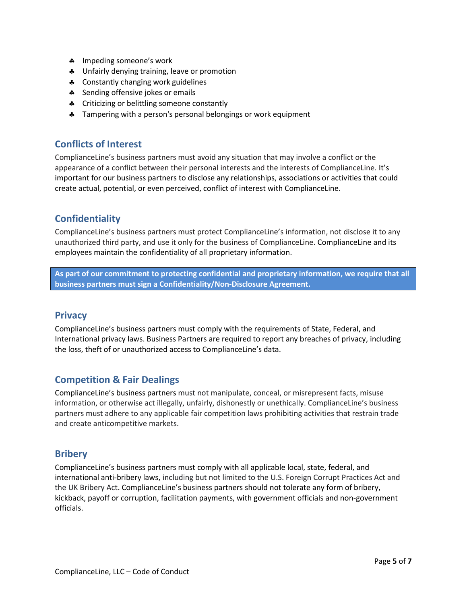- **\*** Impeding someone's work
- $\bullet$  Unfairly denying training, leave or promotion
- **4** Constantly changing work guidelines
- **\*** Sending offensive jokes or emails
- **\*** Criticizing or belittling someone constantly
- <span id="page-5-0"></span>**A** Tampering with a person's personal belongings or work equipment

#### **Conflicts of Interest**

ComplianceLine's business partners must avoid any situation that may involve a conflict or the appearance of a conflict between their personal interests and the interests of ComplianceLine. It's important for our business partners to disclose any relationships, associations or activities that could create actual, potential, or even perceived, conflict of interest with ComplianceLine.

#### <span id="page-5-1"></span>**Confidentiality**

ComplianceLine's business partners must protect ComplianceLine's information, not disclose it to any unauthorized third party, and use it only for the business of ComplianceLine. ComplianceLine and its employees maintain the confidentiality of all proprietary information.

<span id="page-5-2"></span>**As part of our commitment to protecting confidential and proprietary information, we require that all business partners must sign a Confidentiality/Non-Disclosure Agreement.**

#### **Privacy**

ComplianceLine's business partners must comply with the requirements of State, Federal, and International privacy laws. Business Partners are required to report any breaches of privacy, including the loss, theft of or unauthorized access to ComplianceLine's data.

#### <span id="page-5-3"></span>**Competition & Fair Dealings**

ComplianceLine's business partners must not manipulate, conceal, or misrepresent facts, misuse information, or otherwise act illegally, unfairly, dishonestly or unethically. ComplianceLine's business partners must adhere to any applicable fair competition laws prohibiting activities that restrain trade and create anticompetitive markets.

#### <span id="page-5-4"></span>**Bribery**

ComplianceLine's business partners must comply with all applicable local, state, federal, and international anti-bribery laws, including but not limited to the U.S. Foreign Corrupt Practices Act and the UK Bribery Act. ComplianceLine's business partners should not tolerate any form of bribery, kickback, payoff or corruption, facilitation payments, with government officials and non-government officials.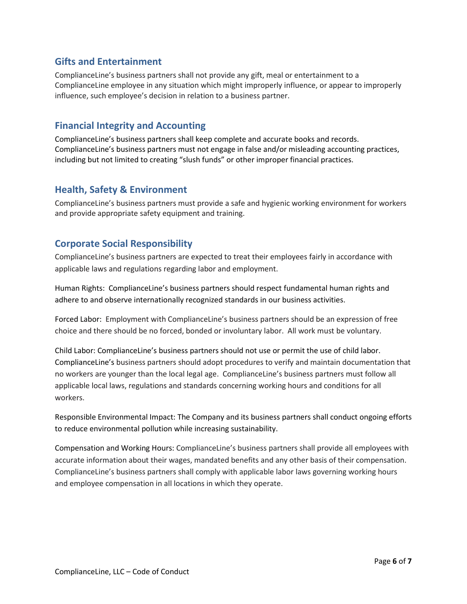#### <span id="page-6-0"></span>**Gifts and Entertainment**

ComplianceLine's business partners shall not provide any gift, meal or entertainment to a ComplianceLine employee in any situation which might improperly influence, or appear to improperly influence, such employee's decision in relation to a business partner.

#### <span id="page-6-1"></span>**Financial Integrity and Accounting**

ComplianceLine's business partners shall keep complete and accurate books and records. ComplianceLine's business partners must not engage in false and/or misleading accounting practices, including but not limited to creating "slush funds" or other improper financial practices.

#### <span id="page-6-2"></span>**Health, Safety & Environment**

ComplianceLine's business partners must provide a safe and hygienic working environment for workers and provide appropriate safety equipment and training.

#### <span id="page-6-3"></span>**Corporate Social Responsibility**

ComplianceLine's business partners are expected to treat their employees fairly in accordance with applicable laws and regulations regarding labor and employment.

Human Rights: ComplianceLine's business partners should respect fundamental human rights and adhere to and observe internationally recognized standards in our business activities.

Forced Labor: Employment with ComplianceLine's business partners should be an expression of free choice and there should be no forced, bonded or involuntary labor. All work must be voluntary.

Child Labor: ComplianceLine's business partners should not use or permit the use of child labor. ComplianceLine's business partners should adopt procedures to verify and maintain documentation that no workers are younger than the local legal age. ComplianceLine's business partners must follow all applicable local laws, regulations and standards concerning working hours and conditions for all workers.

Responsible Environmental Impact: The Company and its business partners shall conduct ongoing efforts to reduce environmental pollution while increasing sustainability.

Compensation and Working Hours: ComplianceLine's business partners shall provide all employees with accurate information about their wages, mandated benefits and any other basis of their compensation. ComplianceLine's business partners shall comply with applicable labor laws governing working hours and employee compensation in all locations in which they operate.